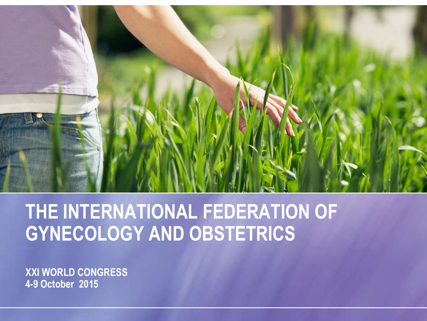

## **THE INTERNATIONAL FEDERATION OF GYNECOLOGY AND OBSTETRICS**

**XXI WORLD CONGRESS 4-9 October 2015**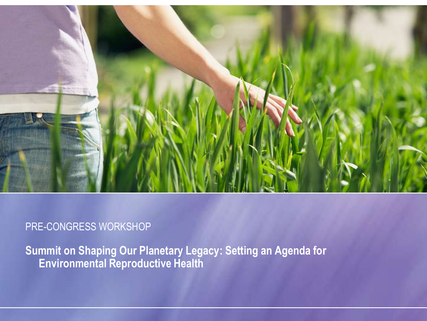

### PRE-CONGRESS WORKSHOP

**Summit on Shaping Our Planetary Legacy: Setting an Agenda for Environmental Reproductive Health**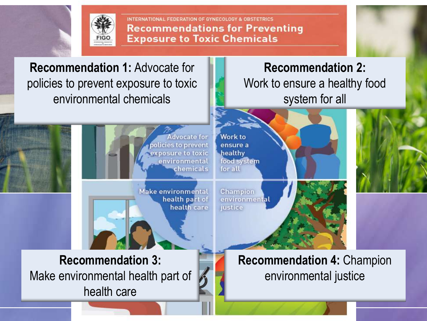

INTERNATIONAL FEDERATION OF GYNECOLOGY & OBSTETRICS **Recommendations for Preventing Exposure to Toxic Chemicals** 

**Recommendation 1:** Advocate for policies to prevent exposure to toxic environmental chemicals



Make environmental health part of health care

**Recommendation 2:**  Work to ensure a healthy food system for all

Work to ensure a healthy food system for all

**Champion** environmental justice

**Recommendation 3:**  Make environmental health part of health care

**Recommendation 4:** Champion environmental justice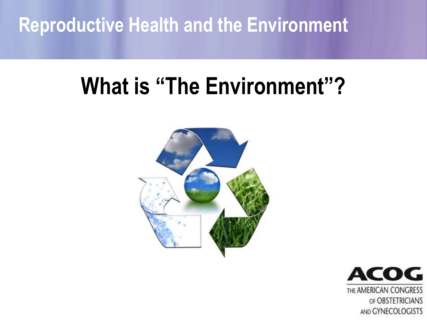## **Reproductive Health and the Environment**

# **What is "The Environment"?**



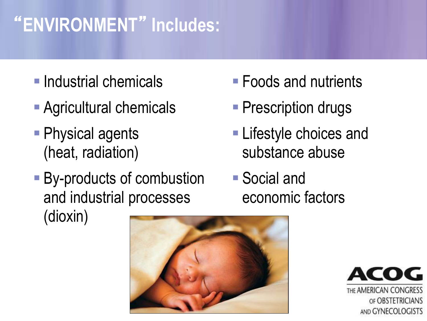# "**ENVIRONMENT**" **Includes:**

- **Industrial chemicals**
- Agricultural chemicals
- **Physical agents** (heat, radiation)
- By-products of combustion and industrial processes (dioxin)
- Foods and nutrients
- **Prescription drugs**
- **Lifestyle choices and** substance abuse
- Social and economic factors



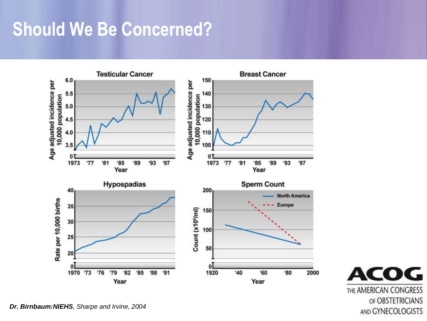## **Should We Be Concerned?**





*Dr. Birnbaum:NIEHS, Sharpe and Irvine, 2004*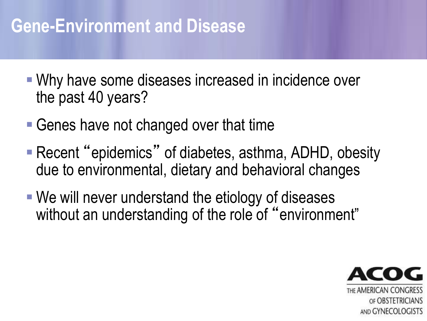## **Gene-Environment and Disease**

- Why have some diseases increased in incidence over the past 40 years?
- Genes have not changed over that time
- Recent "epidemics" of diabetes, asthma, ADHD, obesity due to environmental, dietary and behavioral changes
- We will never understand the etiology of diseases without an understanding of the role of "environment"

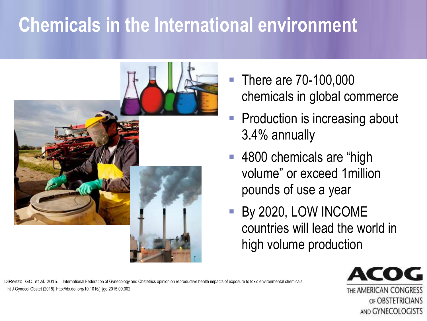# **Chemicals in the International environment**



- There are 70-100,000 chemicals in global commerce
- **Production is increasing about** 3.4% annually
- 4800 chemicals are "high volume" or exceed 1million pounds of use a year
- By 2020, LOW INCOME countries will lead the world in high volume production



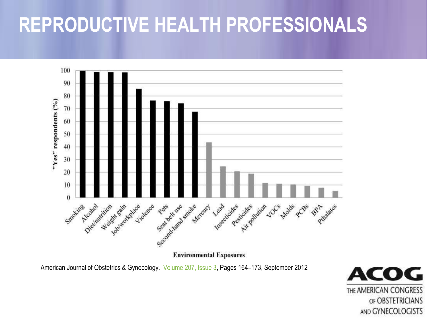# **REPRODUCTIVE HEALTH PROFESSIONALS**



American Journal of Obstetrics & Gynecology. [Volume 207, Issue 3](http://www.ajog.org/issue/S0002-9378(11)X0024-8), Pages 164–173, September 2012

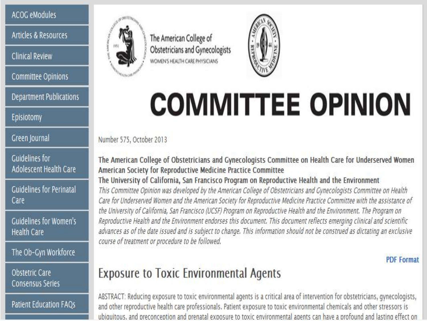### ACOG eModules

**Articles & Resources** 

**Clinical Review** 

**Committee Opinions** 

**Department Publications** 

Episiotomy

**Green Journal** 

**Guidelines for** Adolescent Health Care

**Guidelines for Perinatal** Care

**Guidelines for Women's Health Care** 

The Ob-Gyn Workforce

**Obstetric Care Consensus Series** 

**Patient Education FAQs** 



The American College of **Obstetricians and Gynecologists** WOMEN'S HEALTH CARE PHYSICIANS



# **COMMITTEE OPINION**

Number 575, October 2013

The American College of Obstetricians and Gynecologists Committee on Health Care for Underserved Women American Society for Reproductive Medicine Practice Committee

The University of California, San Francisco Program on Reproductive Health and the Environment This Committee Opinion was developed by the American College of Obstetricians and Gynecologists Committee on Health Care for Underserved Women and the American Society for Reproductive Medicine Practice Committee with the assistance of the University of California, San Francisco (UCSF) Program on Reproductive Health and the Environment. The Program on Reproductive Health and the Environment endorses this document. This document reflects emerging clinical and scientific advances as of the date issued and is subject to change. This information should not be construed as dictating an exclusive course of treatment or procedure to be followed.

**PDF** Format

### **Exposure to Toxic Environmental Agents**

ABSTRACT: Reducing exposure to toxic environmental agents is a critical area of intervention for obstetricians, gynecologists, and other reproductive health care professionals. Patient exposure to toxic environmental chemicals and other stressors is ubiquitous. and preconception and prenatal exposure to toxic environmental agents can have a profound and lasting effect on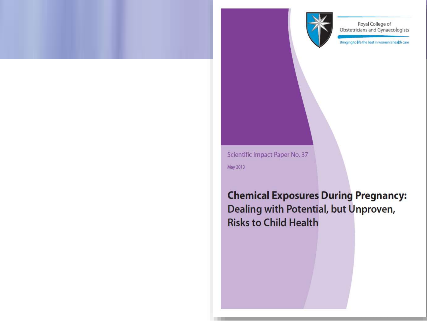

Royal College of<br>Obstetricians and Gynaecologists

Bringing to life the best in women's health care

Scientific Impact Paper No. 37 May 2013

**Chemical Exposures During Pregnancy:** Dealing with Potential, but Unproven, **Risks to Child Health**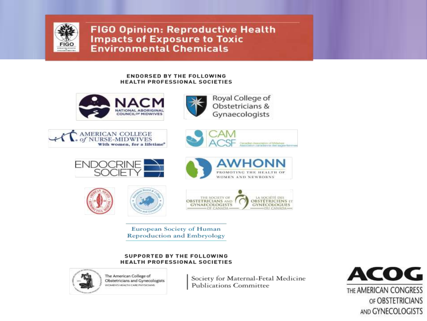

**FIGO Opinion: Reproductive Health Impacts of Exposure to Toxic Environmental Chemicals** 

### **ENDORSED BY THE FOLLOWING** HEALTH PROFESSIONAL SOCIETIES









Royal College of Obstetricians & Gynaecologists







European Society of Human Reproduction and Embryology

### SUPPORTED BY THE FOLLOWING **HEALTH PROFESSIONAL SOCIETIES**



The American College of Obstetricians and Gynecologists WOMEN'S HEALTH CARE PHYSICIANS

Society for Maternal-Fetal Medicine **Publications Committee** 

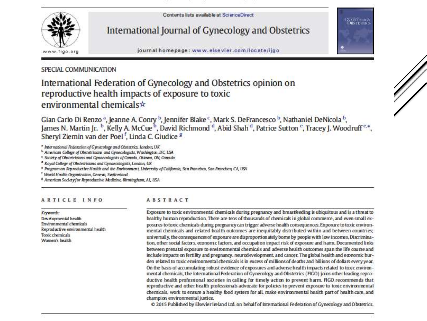

Contents lists available at ScienceDirect

International Journal of Gynecology and Obstetrics

journal homepage: www.elsevier.com/locate/ijgo



International Federation of Gynecology and Obstetrics opinion on reproductive health impacts of exposure to toxic environmental chemicals\*

Gian Carlo Di Renzo<sup>a</sup>, Jeanne A. Conry <sup>b</sup>, Jennifer Blake<sup>c</sup>, Mark S. DeFrancesco<sup>b</sup>, Nathaniel DeNicola<sup>b</sup>, James N. Martin Jr. <sup>b</sup>, Kelly A. McCue<sup>b</sup>, David Richmond<sup>d</sup>, Abid Shah<sup>d</sup>, Patrice Sutton<sup>e</sup>, Tracey J. Woodr Sheryl Ziemin van der Poel<sup>f</sup>, Linda C. Giudice <sup>g</sup>

<sup>a</sup> International Federation of Gynecology and Obstetrics, London, UK

<sup>h</sup> American College of Obstetricians and Gynecologists, Washington, DC, USA

<sup>c</sup> Society of Obstetricians and Gynaecologists of Canada, Ottawa, ON, Canada

<sup>a</sup> Royal College of Obstetricians and Cynaecologists London, UK

\* Program on Reproductive Health and the Environment, University of California, San Francisco, San Francisco, CA, USA

<sup>7</sup> World Health Organization, Geneva, Switzerland

<sup>8</sup> American Society for Reproductive Medicine, Birmingham, AL, USA

### ARTICLE INFO

Keywords:

Developmental health Environmental chemicals Reproductive environmental health Toxic chemicals Women's health

### ABSTRACT

Exposure to toxic environmental chemicals during pregnancy and breastfeeding is ubiquitous and is a threat to healthy human reproduction. There are tens of thousands of chemicals in global commerce, and even small exposures to toxic chemicals during pregnancy can trigger adverse health consequences. Exposure to toxic environmental chemicals and related health outcomes are inequitably distributed within and between countries; universally, the consequences of exposure are disproportionately bome by people with low incomes. Discrimination, other social factors, economic factors, and occupation impact risk of exposure and harm. Documented links between prenatal exposure to environmental chemicals and adverse health outcomes span the life course and include impacts on fertility and pregnancy, neurod evelopment, and cancer. The global health and economic burden related to toxic environmental chemicals is in excess of millions of deaths and billions of dollars every year. On the basis of accumulating robust evidence of exposures and adverse health impacts related to toxic environmental chemicals, the International Federation of Gynecology and Obstetrics (FIGO) joins other leading reproductive health professional societies in calling for timely action to prevent harm. FIGO recommends that reproductive and other health professionals advocate for policies to prevent exposure to toxic environmental chemicals, work to ensure a healthy food system for all, make environmental health part of health care, and champion environmental justice.

**GYNEO ROC** 

@ 2015 Published by Elsevier Ireland Ltd. on behalf of International Federation of Cynecology and Obstetrics.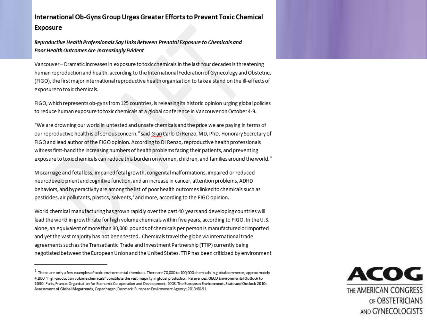### International Ob-Gyns Group Urges Greater Efforts to Prevent Toxic Chemical Exposure

### Reproductive Health Professionals Say Links Between Prenatal Exposure to Chemicals and Poor Health Outcomes Are Increasingly Evident

Vancouver - Dramatic increases in exposure to toxic chemicals in the last four decades is threatening human reproduction and health, according to the International Federation of Gynecology and Obstetrics (FIGO), the first major international reproductive health organization to take a stand on the ill-effects of exposure to toxic chemicals.

FIGO, which represents ob-gyns from 125 countries, is releasing its historic opinion urging global policies to reduce human exposure to toxic chemicals at a global conference in Vancouver on October 4-9.

"We are drowning our world in untested and unsafe chemicals and the price we are paying in terms of our reproductive health is of serious concern," said Gian Carlo Di Renzo, MD, PhD, Honorary Secretary of FIGO and lead author of the FIGO opinion. According to Di Renzo, reproductive health professionals witness first-hand the increasing numbers of health problems facing their patients, and preventing exposure to toxic chemicals can reduce this burden on women, children, and families around the world."

Miscarriage and fetal loss, impaired fetal growth, congenital malformations, impaired or reduced neurodevelopment and cognitive function, and an increase in cancer, attention problems, ADHD behaviors, and hyperactivity are among the list of poor health outcomes linked to chemicals such as pesticides, air pollutants, plastics, solvents,<sup>1</sup> and more, according to the FIGO opinion.

World chemical manufacturing has grown rapidly over the past 40 years and developing countries will lead the world in growth rate for high volume chemicals within five years, according to FIGO. In the U.S. alone, an equivalent of more than 30,000 pounds of chemicals per person is manufactured or imported and yet the vast majority has not been tested. Chemicals travel the globe via international trade agreements such as the Transatlantic Trade and Investment Partnership (TTIP) currently being negotiated between the European Union and the United States. TTIP has been criticized by environment



<sup>1</sup> These are only a few examples of toxic environmental chemicals. There are 70,000 to 100,000 chemicals in global commerce; approximately 4,800 "high-production volume chemicals" constitute the vast majority in global production. References: OECD Environmental Outlook to 2030. Paris, France: Organisation for Economic Co-operation and Development; 2008. The European Environment, State and Outlook 2010: Assessment of Global Megatrends, Copenhagen, Denmark: European Environment Agency; 2010:80-91.